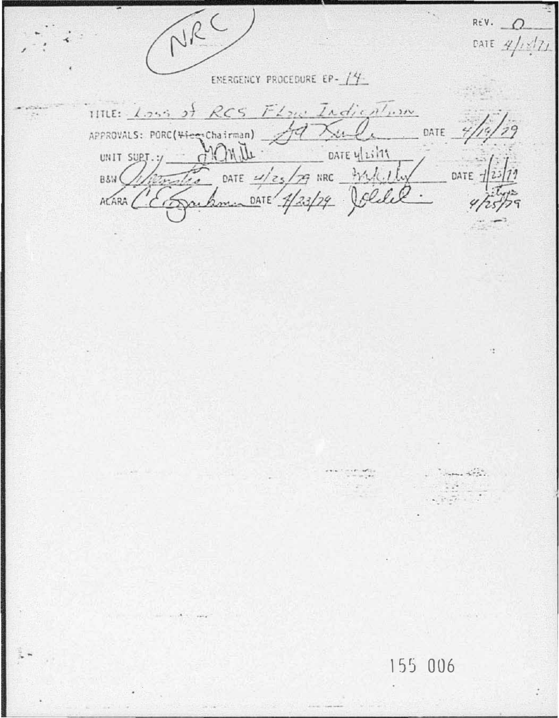NRC  $R\in V$ .  $\Omega$ DATE  $4/18/71$ EMERGENCY PROCEDURE EP- /4 TITLE: Loss of RCS Flow Indication APPROVALS: PORC(<del>Vice</del>-Chairman) 37 Xulle DATE 7/1 DATE OATE 4/25/29 NRC 3/2/4/1/4 DATE -BSW ( MARA CE Jackman DATE 4/23/79 Joliel and the 155 006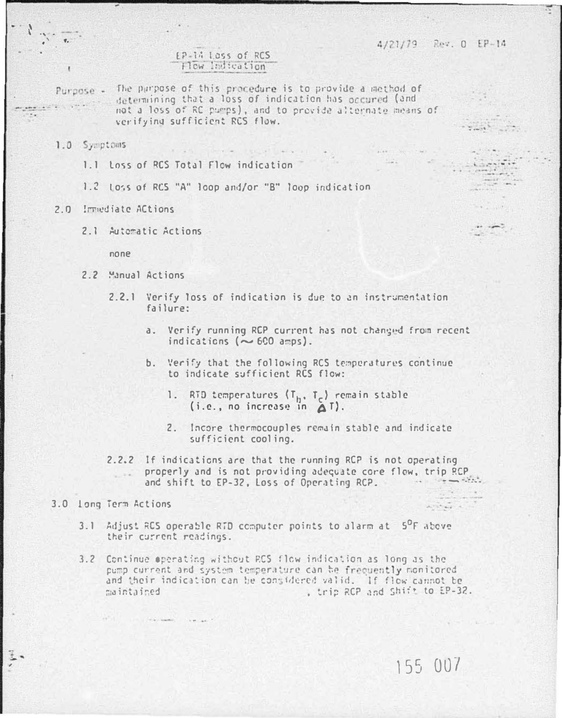## FP-14 Loss of RCS How Indication

Purpose -

The purpose of this procedure is to provide a method of determining that a loss of indication has occured (and not a loss of RC pumps), and to provide alternate means of verifying sufficient RCS flow.

The Service

## 1.0 Symptoms

- 1.1 Loss of RCS Total Flow indication
- 1.2 toss of RCS "A" loop and/or "B" loop indication
- 2.0 Impediate ACtions
	- 2.1 Automatic Actions

 $none$ 

- 2.2 Manual Actions
	- 2.2.1 Verify loss of indication is due to an instrumentation failure:
		- a. Verify running RCP current has not changed from recent indications ( $\sim$  600 amps).
		- b. Verify that the following RCS temperatures continue to indicate sufficient RCS flow:
			- RTD temperatures  $(T_h, T_c)$  remain stable  $1.$  $(i.e., no increase in  $\Delta T$ ).$
			- 2. Incore thermocouples remain stable and indicate sufficient cooling.
	- 2.2.2 If indications are that the running RCP is not operating properly and is not providing adequate core flow, trip RCP and the state of the state of the state of the state of the state of the state of the state of the state of the state of the state of the state of the state of the state of the state of the state of the state of the state and shift to EP-32, Loss of Operating RCP.

## 3.0 Long Term Actions

- 3.1 Adjust RCS operable RTD computer points to alarm at 5<sup>0</sup>F above their current readings.
- 3.2 Continue operating without RCS flow indication as long as the pump current and system temperature can be frequently monitored and their indication can be considered valid. If flow cannot be , trip RCP and Shift to EP-32. maintaired